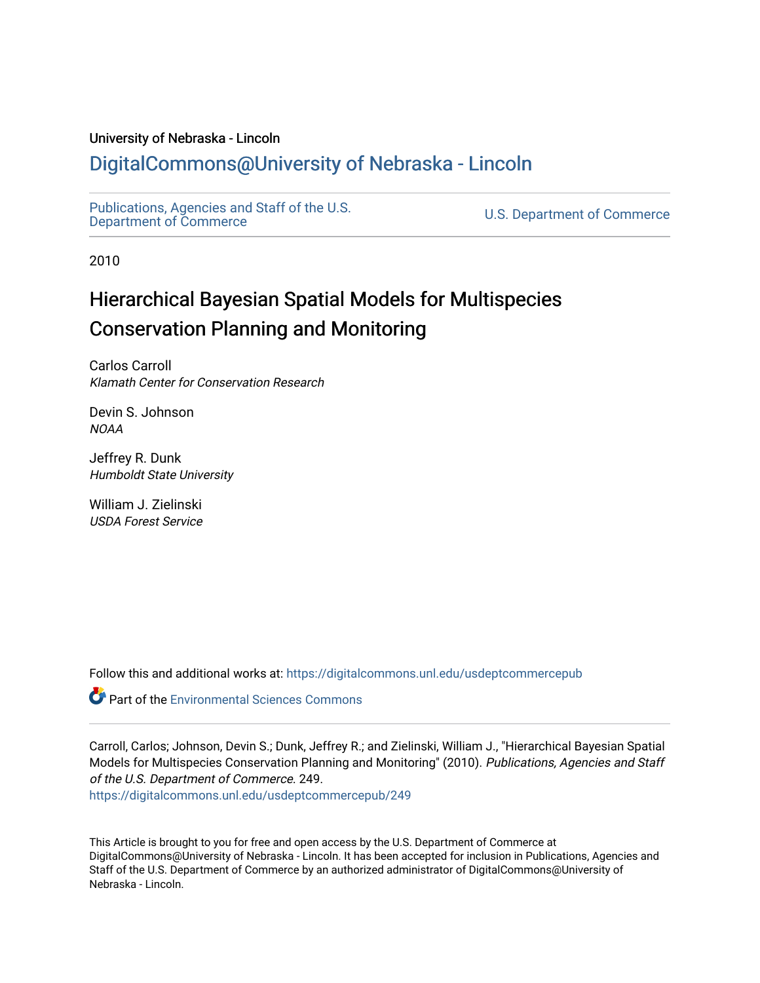#### University of Nebraska - Lincoln

### [DigitalCommons@University of Nebraska - Lincoln](https://digitalcommons.unl.edu/)

[Publications, Agencies and Staff of the U.S.](https://digitalcommons.unl.edu/usdeptcommercepub)

U.S. [Department of Commerce](https://digitalcommons.unl.edu/usdeptcommercepub)

2010

## Hierarchical Bayesian Spatial Models for Multispecies Conservation Planning and Monitoring

Carlos Carroll Klamath Center for Conservation Research

Devin S. Johnson NOAA

Jeffrey R. Dunk Humboldt State University

William J. Zielinski USDA Forest Service

Follow this and additional works at: [https://digitalcommons.unl.edu/usdeptcommercepub](https://digitalcommons.unl.edu/usdeptcommercepub?utm_source=digitalcommons.unl.edu%2Fusdeptcommercepub%2F249&utm_medium=PDF&utm_campaign=PDFCoverPages)

**C**<sup> $\bullet$ </sup> Part of the [Environmental Sciences Commons](http://network.bepress.com/hgg/discipline/167?utm_source=digitalcommons.unl.edu%2Fusdeptcommercepub%2F249&utm_medium=PDF&utm_campaign=PDFCoverPages)

Carroll, Carlos; Johnson, Devin S.; Dunk, Jeffrey R.; and Zielinski, William J., "Hierarchical Bayesian Spatial Models for Multispecies Conservation Planning and Monitoring" (2010). Publications, Agencies and Staff of the U.S. Department of Commerce. 249.

[https://digitalcommons.unl.edu/usdeptcommercepub/249](https://digitalcommons.unl.edu/usdeptcommercepub/249?utm_source=digitalcommons.unl.edu%2Fusdeptcommercepub%2F249&utm_medium=PDF&utm_campaign=PDFCoverPages) 

This Article is brought to you for free and open access by the U.S. Department of Commerce at DigitalCommons@University of Nebraska - Lincoln. It has been accepted for inclusion in Publications, Agencies and Staff of the U.S. Department of Commerce by an authorized administrator of DigitalCommons@University of Nebraska - Lincoln.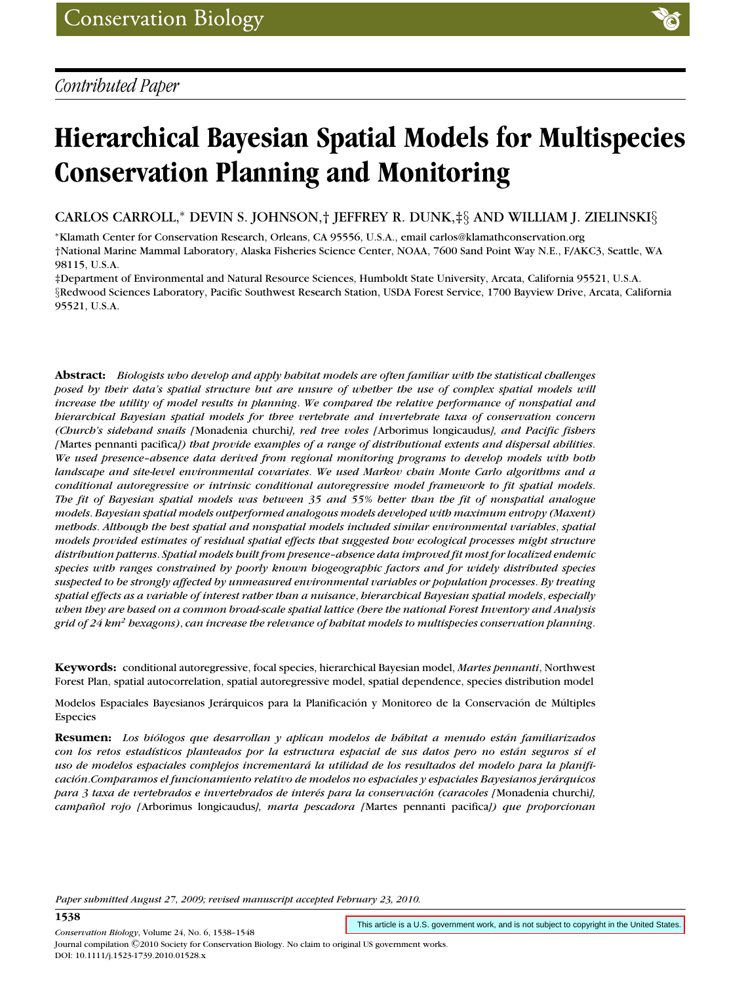# **Hierarchical Bayesian Spatial Models for Multispecies Conservation Planning and Monitoring**

CARLOS CARROLL,<sup>∗</sup> DEVIN S. JOHNSON,† JEFFREY R. DUNK,‡§ AND WILLIAM J. ZIELINSKI§

<sup>∗</sup>Klamath Center for Conservation Research, Orleans, CA 95556, U.S.A., email carlos@klamathconservation.org †National Marine Mammal Laboratory, Alaska Fisheries Science Center, NOAA, 7600 Sand Point Way N.E., F/AKC3, Seattle, WA 98115, U.S.A.

‡Department of Environmental and Natural Resource Sciences, Humboldt State University, Arcata, California 95521, U.S.A. §Redwood Sciences Laboratory, Pacific Southwest Research Station, USDA Forest Service, 1700 Bayview Drive, Arcata, California 95521, U.S.A.

**Abstract:** *Biologists who develop and apply habitat models are often familiar with the statistical challenges posed by their data's spatial structure but are unsure of whether the use of complex spatial models will increase the utility of model results in planning*. *We compared the relative performance of nonspatial and hierarchical Bayesian spatial models for three vertebrate and invertebrate taxa of conservation concern (Church's sideband snails [*Monadenia churchi*], red tree voles [*Arborimus longicaudus*], and Pacific fishers [*Martes pennanti pacifica*]) that provide examples of a range of distributional extents and dispersal abilities*. *We used presence–absence data derived from regional monitoring programs to develop models with both landscape and site-level environmental covariates*. *We used Markov chain Monte Carlo algorithms and a conditional autoregressive or intrinsic conditional autoregressive model framework to fit spatial models*. *The fit of Bayesian spatial models was between 35 and 55% better than the fit of nonspatial analogue models*. *Bayesian spatial models outperformed analogous models developed with maximum entropy (Maxent) methods*. *Although the best spatial and nonspatial models included similar environmental variables*, *spatial models provided estimates of residual spatial effects that suggested how ecological processes might structure distribution patterns*. *Spatial models built from presence–absence data improved fit most for localized endemic species with ranges constrained by poorly known biogeographic factors and for widely distributed species suspected to be strongly affected by unmeasured environmental variables or population processes*. *By treating spatial effects as a variable of interest rather than a nuisance*, *hierarchical Bayesian spatial models*, *especially when they are based on a common broad-scale spatial lattice (here the national Forest Inventory and Analysis grid of 24 km<sup>2</sup> hexagons)*, *can increase the relevance of habitat models to multispecies conservation planning*.

**Keywords:** conditional autoregressive, focal species, hierarchical Bayesian model, *Martes pennanti*, Northwest Forest Plan, spatial autocorrelation, spatial autoregressive model, spatial dependence, species distribution model

Modelos Espaciales Bayesianos Jerárquicos para la Planificación y Monitoreo de la Conservación de Múltiples Especies

**Resumen:** Los biólogos que desarrollan y aplican modelos de hábitat a menudo están familiarizados *con los retos estad´ısticos planteados por la estructura espacial de sus datos pero no estan seguros s ´ ´ı el uso de modelos espaciales complejos incrementara la utilidad de los resultados del modelo para la planifi- ´ cacion´* .*Comparamos el funcionamiento relativo de modelos no espaciales y espaciales Bayesianos jerarquicos ´ para 3 taxa de vertebrados e invertebrados de inter´es para la conservacion (caracoles [ ´* Monadenia churchi*], campanol rojo [ ˜* Arborimus longicaudus*], marta pescadora [*Martes pennanti pacifica*]) que proporcionan*

*Paper submitted August 27, 2009; revised manuscript accepted February 23, 2010.*

This article is a U.S. government work, and is not subject to copyright in the United States.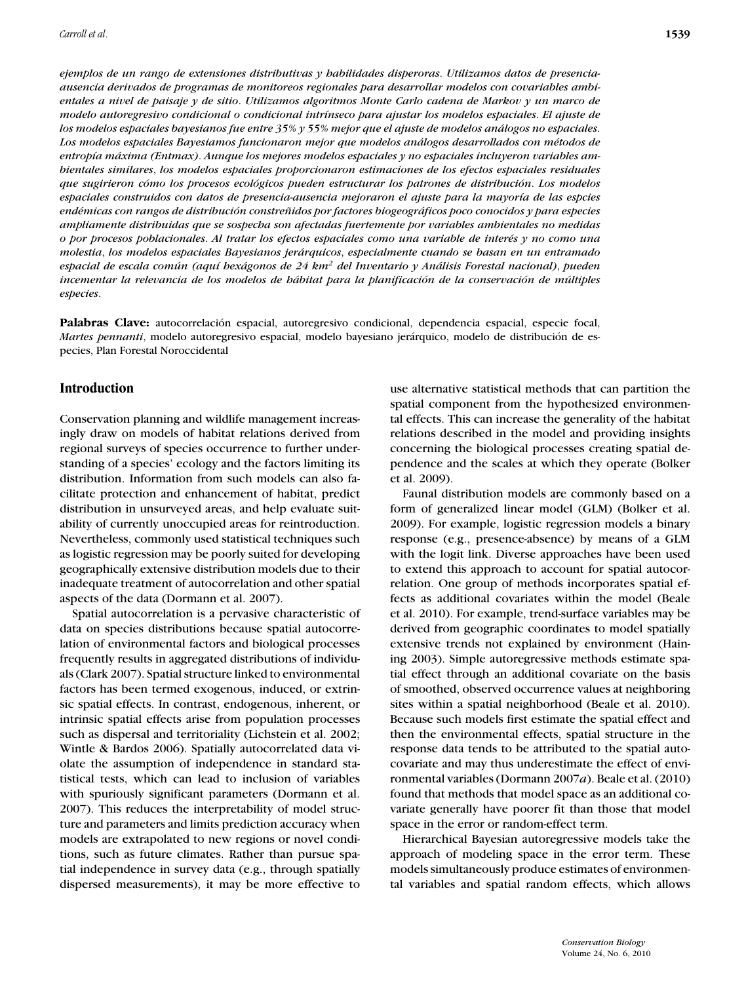*ejemplos de un rango de extensiones distributivas y habilidades disperoras*. *Utilizamos datos de presenciaausencia derivados de programas de monitoreos regionales para desarrollar modelos con covariables ambientales a nivel de paisaje y de sitio*. *Utilizamos algoritmos Monte Carlo cadena de Markov y un marco de modelo autoregresivo condicional o condicional intr´ınseco para ajustar los modelos espaciales*. *El ajuste de los modelos espaciales bayesianos fue entre 35% y 55% mejor que el ajuste de modelos analogos no espaciales ´* . *Los modelos espaciales Bayesiamos funcionaron mejor que modelos analogos desarrollados con m ´ ´etodos de entrop´ıa maxima (Entmax) ´* . *Aunque los mejores modelos espaciales y no espaciales incluyeron variables ambientales similares*, *los modelos espaciales proporcionaron estimaciones de los efectos espaciales residuales que sugirieron como los procesos ecol ´ ogicos pueden estructurar los patrones de distribuci ´ on´* . *Los modelos* espaciales construidos con datos de presencia-ausencia mejoraron el ajuste para la mayoría de las espcies *end´emicas con rangos de distribucion constre ´ nidos por factores biogeogr ˜ aficos poco conocidos y para especies ´ ampliamente distribuidas que se sospecha son afectadas fuertemente por variables ambientales no medidas o por procesos poblacionales*. *Al tratar los efectos espaciales como una variable de inter´es y no como una molestia*, *los modelos espaciales Bayesianos jerarquicos ´* , *especialmente cuando se basan en un entramado espacial de escala comun (aqu ´ ´ı hexagonos de 24 km ´ <sup>2</sup> del Inventario y Analisis Forestal nacional) ´* , *pueden incementar la relevancia de los modelos de habitat para la planificaci ´ on de la conservaci ´ on de m ´ ultiples ´ especies*.

**Palabras Clave:** autocorrelacion espacial, autoregresivo condicional, dependencia espacial, especie focal, ´ *Martes pennanti*, modelo autoregresivo espacial, modelo bayesiano jerárquico, modelo de distribución de especies, Plan Forestal Noroccidental

#### **Introduction**

Conservation planning and wildlife management increasingly draw on models of habitat relations derived from regional surveys of species occurrence to further understanding of a species' ecology and the factors limiting its distribution. Information from such models can also facilitate protection and enhancement of habitat, predict distribution in unsurveyed areas, and help evaluate suitability of currently unoccupied areas for reintroduction. Nevertheless, commonly used statistical techniques such as logistic regression may be poorly suited for developing geographically extensive distribution models due to their inadequate treatment of autocorrelation and other spatial aspects of the data (Dormann et al. 2007).

Spatial autocorrelation is a pervasive characteristic of data on species distributions because spatial autocorrelation of environmental factors and biological processes frequently results in aggregated distributions of individuals (Clark 2007). Spatial structure linked to environmental factors has been termed exogenous, induced, or extrinsic spatial effects. In contrast, endogenous, inherent, or intrinsic spatial effects arise from population processes such as dispersal and territoriality (Lichstein et al. 2002; Wintle & Bardos 2006). Spatially autocorrelated data violate the assumption of independence in standard statistical tests, which can lead to inclusion of variables with spuriously significant parameters (Dormann et al. 2007). This reduces the interpretability of model structure and parameters and limits prediction accuracy when models are extrapolated to new regions or novel conditions, such as future climates. Rather than pursue spatial independence in survey data (e.g., through spatially dispersed measurements), it may be more effective to

use alternative statistical methods that can partition the spatial component from the hypothesized environmental effects. This can increase the generality of the habitat relations described in the model and providing insights concerning the biological processes creating spatial dependence and the scales at which they operate (Bolker et al. 2009).

Faunal distribution models are commonly based on a form of generalized linear model (GLM) (Bolker et al. 2009). For example, logistic regression models a binary response (e.g., presence-absence) by means of a GLM with the logit link. Diverse approaches have been used to extend this approach to account for spatial autocorrelation. One group of methods incorporates spatial effects as additional covariates within the model (Beale et al. 2010). For example, trend-surface variables may be derived from geographic coordinates to model spatially extensive trends not explained by environment (Haining 2003). Simple autoregressive methods estimate spatial effect through an additional covariate on the basis of smoothed, observed occurrence values at neighboring sites within a spatial neighborhood (Beale et al. 2010). Because such models first estimate the spatial effect and then the environmental effects, spatial structure in the response data tends to be attributed to the spatial autocovariate and may thus underestimate the effect of environmental variables (Dormann 2007*a*). Beale et al. (2010) found that methods that model space as an additional covariate generally have poorer fit than those that model space in the error or random-effect term.

Hierarchical Bayesian autoregressive models take the approach of modeling space in the error term. These models simultaneously produce estimates of environmental variables and spatial random effects, which allows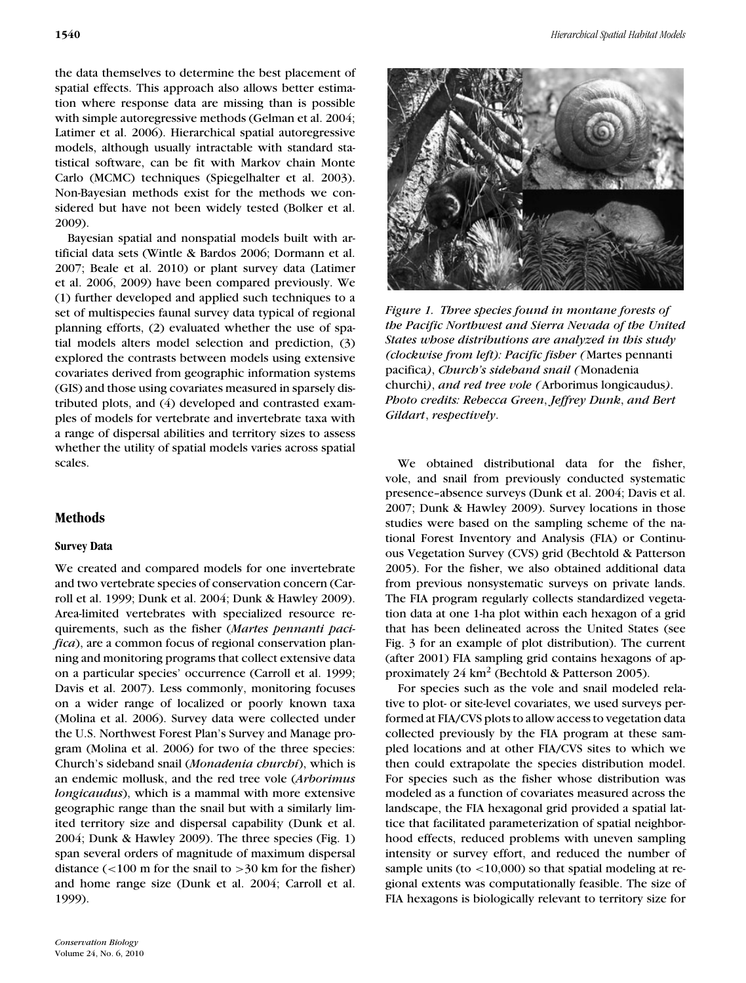the data themselves to determine the best placement of spatial effects. This approach also allows better estimation where response data are missing than is possible with simple autoregressive methods (Gelman et al. 2004; Latimer et al. 2006). Hierarchical spatial autoregressive models, although usually intractable with standard statistical software, can be fit with Markov chain Monte Carlo (MCMC) techniques (Spiegelhalter et al. 2003). Non-Bayesian methods exist for the methods we considered but have not been widely tested (Bolker et al. 2009).

Bayesian spatial and nonspatial models built with artificial data sets (Wintle & Bardos 2006; Dormann et al. 2007; Beale et al. 2010) or plant survey data (Latimer et al. 2006, 2009) have been compared previously. We (1) further developed and applied such techniques to a set of multispecies faunal survey data typical of regional planning efforts, (2) evaluated whether the use of spatial models alters model selection and prediction, (3) explored the contrasts between models using extensive covariates derived from geographic information systems (GIS) and those using covariates measured in sparsely distributed plots, and (4) developed and contrasted examples of models for vertebrate and invertebrate taxa with a range of dispersal abilities and territory sizes to assess whether the utility of spatial models varies across spatial scales.

#### **Methods**

#### **Survey Data**

We created and compared models for one invertebrate and two vertebrate species of conservation concern (Carroll et al. 1999; Dunk et al. 2004; Dunk & Hawley 2009). Area-limited vertebrates with specialized resource requirements, such as the fisher (*Martes pennanti pacifica*), are a common focus of regional conservation planning and monitoring programs that collect extensive data on a particular species' occurrence (Carroll et al. 1999; Davis et al. 2007). Less commonly, monitoring focuses on a wider range of localized or poorly known taxa (Molina et al. 2006). Survey data were collected under the U.S. Northwest Forest Plan's Survey and Manage program (Molina et al. 2006) for two of the three species: Church's sideband snail (*Monadenia churchi*), which is an endemic mollusk, and the red tree vole (*Arborimus longicaudus*), which is a mammal with more extensive geographic range than the snail but with a similarly limited territory size and dispersal capability (Dunk et al. 2004; Dunk & Hawley 2009). The three species (Fig. 1) span several orders of magnitude of maximum dispersal distance  $\left($  < 100 m for the snail to >30 km for the fisher) and home range size (Dunk et al. 2004; Carroll et al. 1999).



*Figure 1. Three species found in montane forests of the Pacific Northwest and Sierra Nevada of the United States whose distributions are analyzed in this study (clockwise from left): Pacific fisher (*Martes pennanti pacifica*)*, *Church's sideband snail (*Monadenia churchi*)*, *and red tree vole (*Arborimus longicaudus*)*. *Photo credits: Rebecca Green*, *Jeffrey Dunk*, *and Bert Gildart*, *respectively*.

We obtained distributional data for the fisher, vole, and snail from previously conducted systematic presence–absence surveys (Dunk et al. 2004; Davis et al. 2007; Dunk & Hawley 2009). Survey locations in those studies were based on the sampling scheme of the national Forest Inventory and Analysis (FIA) or Continuous Vegetation Survey (CVS) grid (Bechtold & Patterson 2005). For the fisher, we also obtained additional data from previous nonsystematic surveys on private lands. The FIA program regularly collects standardized vegetation data at one 1-ha plot within each hexagon of a grid that has been delineated across the United States (see Fig. 3 for an example of plot distribution). The current (after 2001) FIA sampling grid contains hexagons of approximately  $24 \text{ km}^2$  (Bechtold & Patterson 2005).

For species such as the vole and snail modeled relative to plot- or site-level covariates, we used surveys performed at FIA/CVS plots to allow access to vegetation data collected previously by the FIA program at these sampled locations and at other FIA/CVS sites to which we then could extrapolate the species distribution model. For species such as the fisher whose distribution was modeled as a function of covariates measured across the landscape, the FIA hexagonal grid provided a spatial lattice that facilitated parameterization of spatial neighborhood effects, reduced problems with uneven sampling intensity or survey effort, and reduced the number of sample units (to  $<$ 10,000) so that spatial modeling at regional extents was computationally feasible. The size of FIA hexagons is biologically relevant to territory size for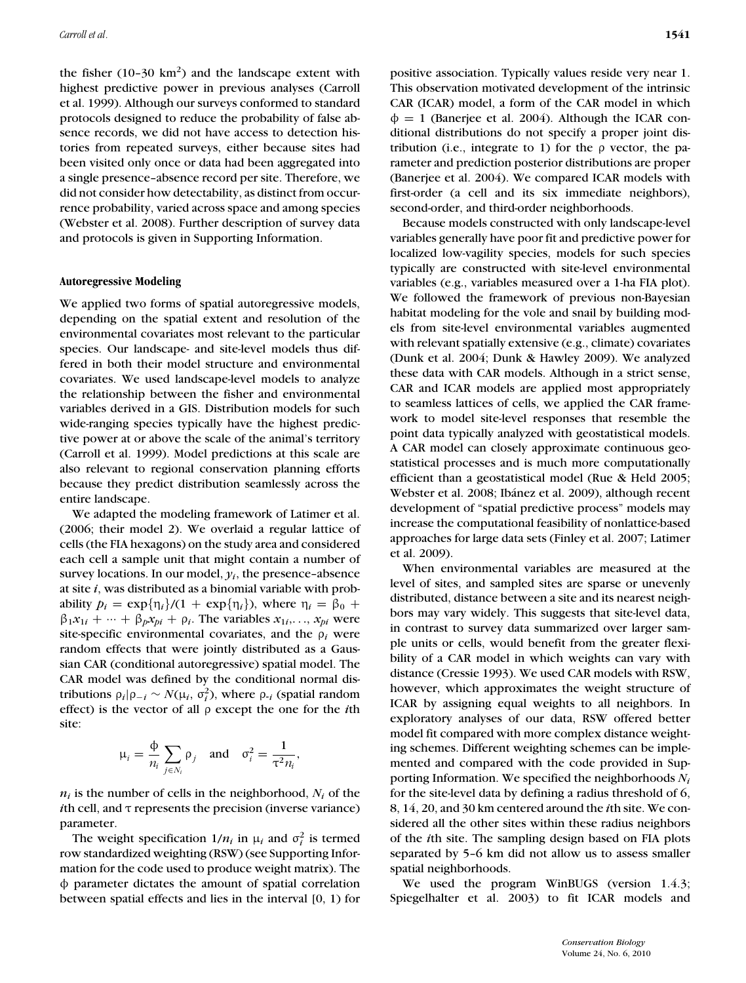the fisher  $(10-30 \text{ km}^2)$  and the landscape extent with highest predictive power in previous analyses (Carroll et al. 1999). Although our surveys conformed to standard protocols designed to reduce the probability of false absence records, we did not have access to detection histories from repeated surveys, either because sites had been visited only once or data had been aggregated into a single presence–absence record per site. Therefore, we did not consider how detectability, as distinct from occurrence probability, varied across space and among species (Webster et al. 2008). Further description of survey data and protocols is given in Supporting Information.

#### **Autoregressive Modeling**

We applied two forms of spatial autoregressive models, depending on the spatial extent and resolution of the environmental covariates most relevant to the particular species. Our landscape- and site-level models thus differed in both their model structure and environmental covariates. We used landscape-level models to analyze the relationship between the fisher and environmental variables derived in a GIS. Distribution models for such wide-ranging species typically have the highest predictive power at or above the scale of the animal's territory (Carroll et al. 1999). Model predictions at this scale are also relevant to regional conservation planning efforts because they predict distribution seamlessly across the entire landscape.

We adapted the modeling framework of Latimer et al. (2006; their model 2). We overlaid a regular lattice of cells (the FIA hexagons) on the study area and considered each cell a sample unit that might contain a number of survey locations. In our model,  $y_i$ , the presence-absence at site *i*, was distributed as a binomial variable with probability  $p_i = \exp{\{\eta_i\}}/(1 + \exp{\{\eta_i\}})$ , where  $\eta_i = \beta_0 + \beta_0$  $\beta_1 x_{1i} + \cdots + \beta_p x_{pi} + \rho_i$ . The variables  $x_{1i}, \ldots, x_{pi}$  were site-specific environmental covariates, and the  $\rho_i$  were random effects that were jointly distributed as a Gaussian CAR (conditional autoregressive) spatial model. The CAR model was defined by the conditional normal distributions  $\rho_i | \rho_{-i} \sim N(\mu_i, \sigma_i^2)$ , where  $\rho_{-i}$  (spatial random effect) is the vector of all ρ except the one for the *i*th site:

$$
\mu_i = \frac{\Phi}{n_i} \sum_{j \in N_i} \rho_j
$$
 and  $\sigma_i^2 = \frac{1}{\tau^2 n_i}$ ,

 $n_i$  is the number of cells in the neighborhood,  $N_i$  of the *i*th cell, and τ represents the precision (inverse variance) parameter.

The weight specification  $1/n_i$  in  $\mu_i$  and  $\sigma_i^2$  is termed row standardized weighting (RSW) (see Supporting Information for the code used to produce weight matrix). The φ parameter dictates the amount of spatial correlation between spatial effects and lies in the interval [0, 1) for positive association. Typically values reside very near 1. This observation motivated development of the intrinsic CAR (ICAR) model, a form of the CAR model in which  $\phi = 1$  (Banerjee et al. 2004). Although the ICAR conditional distributions do not specify a proper joint distribution (i.e., integrate to 1) for the  $\rho$  vector, the parameter and prediction posterior distributions are proper (Banerjee et al. 2004). We compared ICAR models with first-order (a cell and its six immediate neighbors), second-order, and third-order neighborhoods.

Because models constructed with only landscape-level variables generally have poor fit and predictive power for localized low-vagility species, models for such species typically are constructed with site-level environmental variables (e.g., variables measured over a 1-ha FIA plot). We followed the framework of previous non-Bayesian habitat modeling for the vole and snail by building models from site-level environmental variables augmented with relevant spatially extensive (e.g., climate) covariates (Dunk et al. 2004; Dunk & Hawley 2009). We analyzed these data with CAR models. Although in a strict sense, CAR and ICAR models are applied most appropriately to seamless lattices of cells, we applied the CAR framework to model site-level responses that resemble the point data typically analyzed with geostatistical models. A CAR model can closely approximate continuous geostatistical processes and is much more computationally efficient than a geostatistical model (Rue & Held 2005; Webster et al. 2008; Ibánez et al. 2009), although recent development of "spatial predictive process" models may increase the computational feasibility of nonlattice-based approaches for large data sets (Finley et al. 2007; Latimer et al. 2009).

When environmental variables are measured at the level of sites, and sampled sites are sparse or unevenly distributed, distance between a site and its nearest neighbors may vary widely. This suggests that site-level data, in contrast to survey data summarized over larger sample units or cells, would benefit from the greater flexibility of a CAR model in which weights can vary with distance (Cressie 1993). We used CAR models with RSW, however, which approximates the weight structure of ICAR by assigning equal weights to all neighbors. In exploratory analyses of our data, RSW offered better model fit compared with more complex distance weighting schemes. Different weighting schemes can be implemented and compared with the code provided in Supporting Information. We specified the neighborhoods *Ni* for the site-level data by defining a radius threshold of 6, 8, 14, 20, and 30 km centered around the *i*th site. We considered all the other sites within these radius neighbors of the *i*th site. The sampling design based on FIA plots separated by 5–6 km did not allow us to assess smaller spatial neighborhoods.

We used the program WinBUGS (version 1.4.3; Spiegelhalter et al. 2003) to fit ICAR models and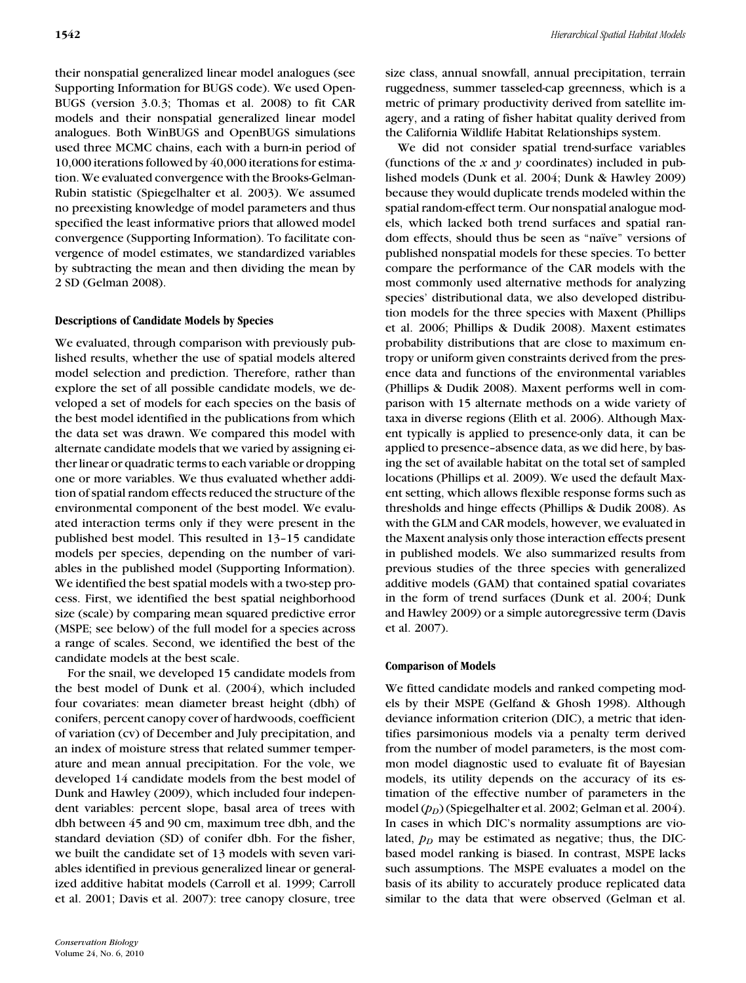their nonspatial generalized linear model analogues (see Supporting Information for BUGS code). We used Open-BUGS (version 3.0.3; Thomas et al. 2008) to fit CAR models and their nonspatial generalized linear model analogues. Both WinBUGS and OpenBUGS simulations used three MCMC chains, each with a burn-in period of 10,000 iterations followed by 40,000 iterations for estimation. We evaluated convergence with the Brooks-Gelman-Rubin statistic (Spiegelhalter et al. 2003). We assumed no preexisting knowledge of model parameters and thus specified the least informative priors that allowed model convergence (Supporting Information). To facilitate convergence of model estimates, we standardized variables by subtracting the mean and then dividing the mean by 2 SD (Gelman 2008).

#### **Descriptions of Candidate Models by Species**

We evaluated, through comparison with previously published results, whether the use of spatial models altered model selection and prediction. Therefore, rather than explore the set of all possible candidate models, we developed a set of models for each species on the basis of the best model identified in the publications from which the data set was drawn. We compared this model with alternate candidate models that we varied by assigning either linear or quadratic terms to each variable or dropping one or more variables. We thus evaluated whether addition of spatial random effects reduced the structure of the environmental component of the best model. We evaluated interaction terms only if they were present in the published best model. This resulted in 13–15 candidate models per species, depending on the number of variables in the published model (Supporting Information). We identified the best spatial models with a two-step process. First, we identified the best spatial neighborhood size (scale) by comparing mean squared predictive error (MSPE; see below) of the full model for a species across a range of scales. Second, we identified the best of the candidate models at the best scale.

For the snail, we developed 15 candidate models from the best model of Dunk et al. (2004), which included four covariates: mean diameter breast height (dbh) of conifers, percent canopy cover of hardwoods, coefficient of variation (cv) of December and July precipitation, and an index of moisture stress that related summer temperature and mean annual precipitation. For the vole, we developed 14 candidate models from the best model of Dunk and Hawley (2009), which included four independent variables: percent slope, basal area of trees with dbh between 45 and 90 cm, maximum tree dbh, and the standard deviation (SD) of conifer dbh. For the fisher, we built the candidate set of 13 models with seven variables identified in previous generalized linear or generalized additive habitat models (Carroll et al. 1999; Carroll et al. 2001; Davis et al. 2007): tree canopy closure, tree

size class, annual snowfall, annual precipitation, terrain ruggedness, summer tasseled-cap greenness, which is a metric of primary productivity derived from satellite imagery, and a rating of fisher habitat quality derived from the California Wildlife Habitat Relationships system.

We did not consider spatial trend-surface variables (functions of the  $x$  and  $y$  coordinates) included in published models (Dunk et al. 2004; Dunk & Hawley 2009) because they would duplicate trends modeled within the spatial random-effect term. Our nonspatial analogue models, which lacked both trend surfaces and spatial random effects, should thus be seen as "naïve" versions of published nonspatial models for these species. To better compare the performance of the CAR models with the most commonly used alternative methods for analyzing species' distributional data, we also developed distribution models for the three species with Maxent (Phillips et al. 2006; Phillips & Dudik 2008). Maxent estimates probability distributions that are close to maximum entropy or uniform given constraints derived from the presence data and functions of the environmental variables (Phillips & Dudik 2008). Maxent performs well in comparison with 15 alternate methods on a wide variety of taxa in diverse regions (Elith et al. 2006). Although Maxent typically is applied to presence-only data, it can be applied to presence–absence data, as we did here, by basing the set of available habitat on the total set of sampled locations (Phillips et al. 2009). We used the default Maxent setting, which allows flexible response forms such as thresholds and hinge effects (Phillips & Dudik 2008). As with the GLM and CAR models, however, we evaluated in the Maxent analysis only those interaction effects present in published models. We also summarized results from previous studies of the three species with generalized additive models (GAM) that contained spatial covariates in the form of trend surfaces (Dunk et al. 2004; Dunk and Hawley 2009) or a simple autoregressive term (Davis et al. 2007).

#### **Comparison of Models**

We fitted candidate models and ranked competing models by their MSPE (Gelfand & Ghosh 1998). Although deviance information criterion (DIC), a metric that identifies parsimonious models via a penalty term derived from the number of model parameters, is the most common model diagnostic used to evaluate fit of Bayesian models, its utility depends on the accuracy of its estimation of the effective number of parameters in the model  $(p_D)$  (Spiegelhalter et al. 2002; Gelman et al. 2004). In cases in which DIC's normality assumptions are violated,  $p<sub>D</sub>$  may be estimated as negative; thus, the DICbased model ranking is biased. In contrast, MSPE lacks such assumptions. The MSPE evaluates a model on the basis of its ability to accurately produce replicated data similar to the data that were observed (Gelman et al.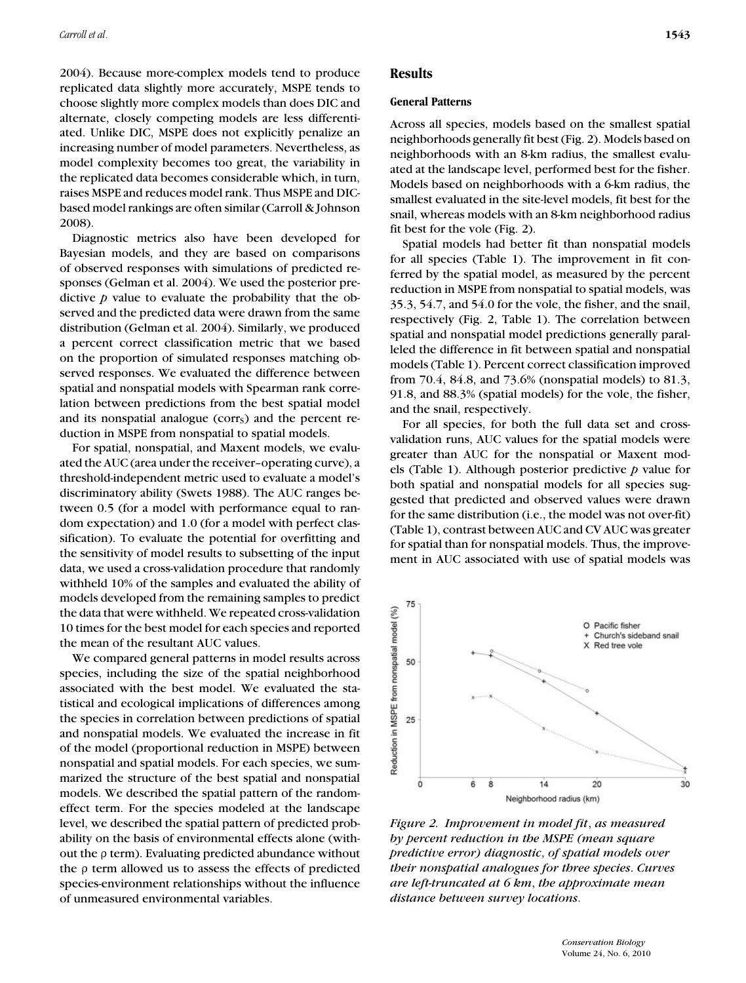2004). Because more-complex models tend to produce replicated data slightly more accurately, MSPE tends to choose slightly more complex models than does DIC and alternate, closely competing models are less differentiated. Unlike DIC, MSPE does not explicitly penalize an increasing number of model parameters. Nevertheless, as model complexity becomes too great, the variability in the replicated data becomes considerable which, in turn, raises MSPE and reduces model rank. Thus MSPE and DICbased model rankings are often similar (Carroll & Johnson 2008).

Diagnostic metrics also have been developed for Bayesian models, and they are based on comparisons of observed responses with simulations of predicted responses (Gelman et al. 2004). We used the posterior predictive *p* value to evaluate the probability that the observed and the predicted data were drawn from the same distribution (Gelman et al. 2004). Similarly, we produced a percent correct classification metric that we based on the proportion of simulated responses matching observed responses. We evaluated the difference between spatial and nonspatial models with Spearman rank correlation between predictions from the best spatial model and its nonspatial analogue  $(corr<sub>S</sub>)$  and the percent reduction in MSPE from nonspatial to spatial models.

For spatial, nonspatial, and Maxent models, we evaluated the AUC (area under the receiver–operating curve), a threshold-independent metric used to evaluate a model's discriminatory ability (Swets 1988). The AUC ranges between 0.5 (for a model with performance equal to random expectation) and 1.0 (for a model with perfect classification). To evaluate the potential for overfitting and the sensitivity of model results to subsetting of the input data, we used a cross-validation procedure that randomly withheld 10% of the samples and evaluated the ability of models developed from the remaining samples to predict the data that were withheld. We repeated cross-validation 10 times for the best model for each species and reported the mean of the resultant AUC values.

We compared general patterns in model results across species, including the size of the spatial neighborhood associated with the best model. We evaluated the statistical and ecological implications of differences among the species in correlation between predictions of spatial and nonspatial models. We evaluated the increase in fit of the model (proportional reduction in MSPE) between nonspatial and spatial models. For each species, we summarized the structure of the best spatial and nonspatial models. We described the spatial pattern of the randomeffect term. For the species modeled at the landscape level, we described the spatial pattern of predicted probability on the basis of environmental effects alone (without the ρ term). Evaluating predicted abundance without the ρ term allowed us to assess the effects of predicted species-environment relationships without the influence of unmeasured environmental variables.

#### **Results**

#### **General Patterns**

Across all species, models based on the smallest spatial neighborhoods generally fit best (Fig. 2). Models based on neighborhoods with an 8-km radius, the smallest evaluated at the landscape level, performed best for the fisher. Models based on neighborhoods with a 6-km radius, the smallest evaluated in the site-level models, fit best for the snail, whereas models with an 8-km neighborhood radius fit best for the vole (Fig. 2).

Spatial models had better fit than nonspatial models for all species (Table 1). The improvement in fit conferred by the spatial model, as measured by the percent reduction in MSPE from nonspatial to spatial models, was 35.3, 54.7, and 54.0 for the vole, the fisher, and the snail, respectively (Fig. 2, Table 1). The correlation between spatial and nonspatial model predictions generally paralleled the difference in fit between spatial and nonspatial models (Table 1). Percent correct classification improved from 70.4, 84.8, and 73.6% (nonspatial models) to 81.3, 91.8, and 88.3% (spatial models) for the vole, the fisher, and the snail, respectively.

For all species, for both the full data set and crossvalidation runs, AUC values for the spatial models were greater than AUC for the nonspatial or Maxent models (Table 1). Although posterior predictive *p* value for both spatial and nonspatial models for all species suggested that predicted and observed values were drawn for the same distribution (i.e., the model was not over-fit) (Table 1), contrast between AUC and CV AUC was greater for spatial than for nonspatial models. Thus, the improvement in AUC associated with use of spatial models was



*Figure 2. Improvement in model fit*, *as measured by percent reduction in the MSPE (mean square predictive error) diagnostic*, *of spatial models over their nonspatial analogues for three species*. *Curves are left-truncated at 6 km*, *the approximate mean distance between survey locations*.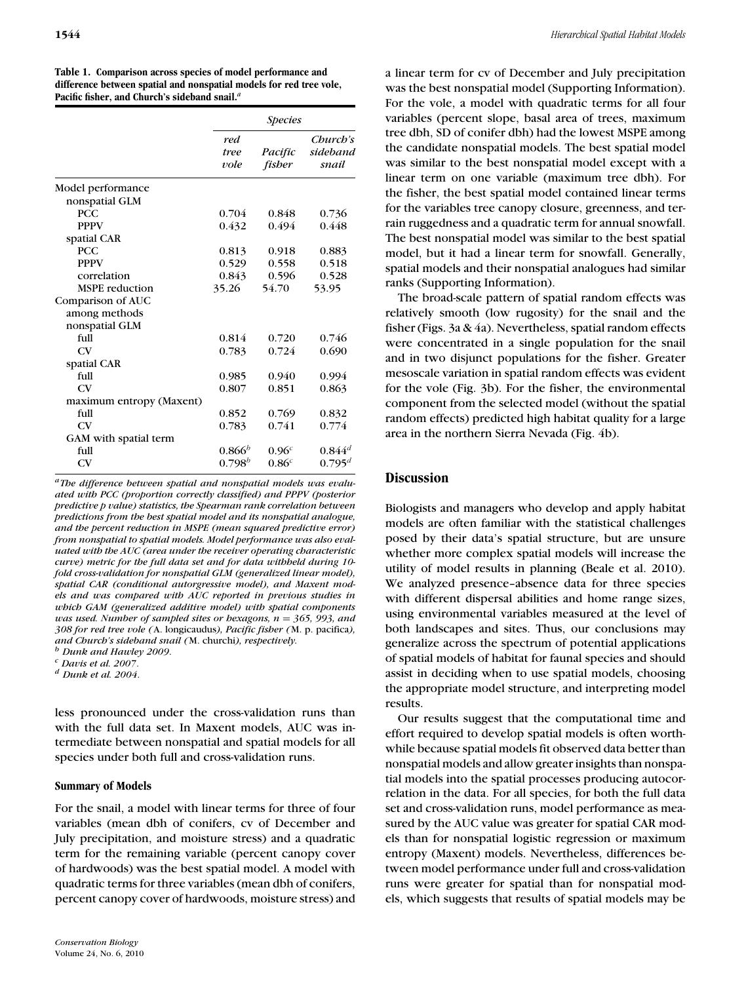| Table 1. Comparison across species of model performance and         |
|---------------------------------------------------------------------|
| difference between spatial and nonspatial models for red tree vole. |
| Pacific fisher, and Church's sideband snail. <sup><i>a</i></sup>    |

|                          | <i><b>Species</b></i> |                   |                               |
|--------------------------|-----------------------|-------------------|-------------------------------|
|                          | red<br>tree<br>vole   | Pacific<br>fisher | Church's<br>sideband<br>snail |
| Model performance        |                       |                   |                               |
| nonspatial GLM           |                       |                   |                               |
| <b>PCC</b>               | 0.704                 | 0.848             | 0.736                         |
| <b>PPPV</b>              | 0.432                 | 0.494             | 0.448                         |
| spatial CAR              |                       |                   |                               |
| <b>PCC</b>               | 0.813                 | 0.918             | 0.883                         |
| <b>PPPV</b>              | 0.529                 | 0.558             | 0.518                         |
| correlation              | 0.843                 | 0.596             | 0.528                         |
| <b>MSPE</b> reduction    | 35.26                 | 54.70             | 53.95                         |
| Comparison of AUC        |                       |                   |                               |
| among methods            |                       |                   |                               |
| nonspatial GLM           |                       |                   |                               |
| full                     | 0.814                 | 0.720             | 0.746                         |
| CV                       | 0.783                 | 0.724             | 0.690                         |
| spatial CAR              |                       |                   |                               |
| full                     | 0.985                 | 0.940             | 0.994                         |
| CV                       | 0.807                 | 0.851             | 0.863                         |
| maximum entropy (Maxent) |                       |                   |                               |
| full                     | 0.852                 | 0.769             | 0.832                         |
| CV                       | 0.783                 | 0.741             | 0.774                         |
| GAM with spatial term    |                       |                   |                               |
| full                     | $0.866^b$             | 0.96 <sup>c</sup> | $0.844^d$                     |
| CV                       | $0.798^b$             | 0.86 <sup>c</sup> | $0.795^d$                     |

*aThe difference between spatial and nonspatial models was evaluated with PCC (proportion correctly classified) and PPPV (posterior predictive p value) statistics, the Spearman rank correlation between predictions from the best spatial model and its nonspatial analogue, and the percent reduction in MSPE (mean squared predictive error) from nonspatial to spatial models. Model performance was also evaluated with the AUC (area under the receiver operating characteristic curve) metric for the full data set and for data withheld during 10 fold cross-validation for nonspatial GLM (generalized linear model), spatial CAR (conditional autorgressive model), and Maxent models and was compared with AUC reported in previous studies in which GAM (generalized additive model) with spatial components was used. Number of sampled sites or hexagons, n* = *365, 993, and 308 for red tree vole (*A. longicaudus*), Pacific fisher (*M. p. pacifica*), and Church's sideband snail (*M. churchi*), respectively. <sup>b</sup> Dunk and Hawley 2009*. *<sup>c</sup> Davis et al. 2007*. *<sup>d</sup> Dunk et al. 2004*.

less pronounced under the cross-validation runs than with the full data set. In Maxent models, AUC was intermediate between nonspatial and spatial models for all species under both full and cross-validation runs.

#### **Summary of Models**

For the snail, a model with linear terms for three of four variables (mean dbh of conifers, cv of December and July precipitation, and moisture stress) and a quadratic term for the remaining variable (percent canopy cover of hardwoods) was the best spatial model. A model with quadratic terms for three variables (mean dbh of conifers, percent canopy cover of hardwoods, moisture stress) and

a linear term for cv of December and July precipitation was the best nonspatial model (Supporting Information). For the vole, a model with quadratic terms for all four variables (percent slope, basal area of trees, maximum tree dbh, SD of conifer dbh) had the lowest MSPE among the candidate nonspatial models. The best spatial model was similar to the best nonspatial model except with a linear term on one variable (maximum tree dbh). For the fisher, the best spatial model contained linear terms for the variables tree canopy closure, greenness, and terrain ruggedness and a quadratic term for annual snowfall. The best nonspatial model was similar to the best spatial model, but it had a linear term for snowfall. Generally, spatial models and their nonspatial analogues had similar ranks (Supporting Information).

The broad-scale pattern of spatial random effects was relatively smooth (low rugosity) for the snail and the fisher (Figs. 3a & 4a). Nevertheless, spatial random effects were concentrated in a single population for the snail and in two disjunct populations for the fisher. Greater mesoscale variation in spatial random effects was evident for the vole (Fig. 3b). For the fisher, the environmental component from the selected model (without the spatial random effects) predicted high habitat quality for a large area in the northern Sierra Nevada (Fig. 4b).

#### **Discussion**

Biologists and managers who develop and apply habitat models are often familiar with the statistical challenges posed by their data's spatial structure, but are unsure whether more complex spatial models will increase the utility of model results in planning (Beale et al. 2010). We analyzed presence–absence data for three species with different dispersal abilities and home range sizes, using environmental variables measured at the level of both landscapes and sites. Thus, our conclusions may generalize across the spectrum of potential applications of spatial models of habitat for faunal species and should assist in deciding when to use spatial models, choosing the appropriate model structure, and interpreting model results.

Our results suggest that the computational time and effort required to develop spatial models is often worthwhile because spatial models fit observed data better than nonspatial models and allow greater insights than nonspatial models into the spatial processes producing autocorrelation in the data. For all species, for both the full data set and cross-validation runs, model performance as measured by the AUC value was greater for spatial CAR models than for nonspatial logistic regression or maximum entropy (Maxent) models. Nevertheless, differences between model performance under full and cross-validation runs were greater for spatial than for nonspatial models, which suggests that results of spatial models may be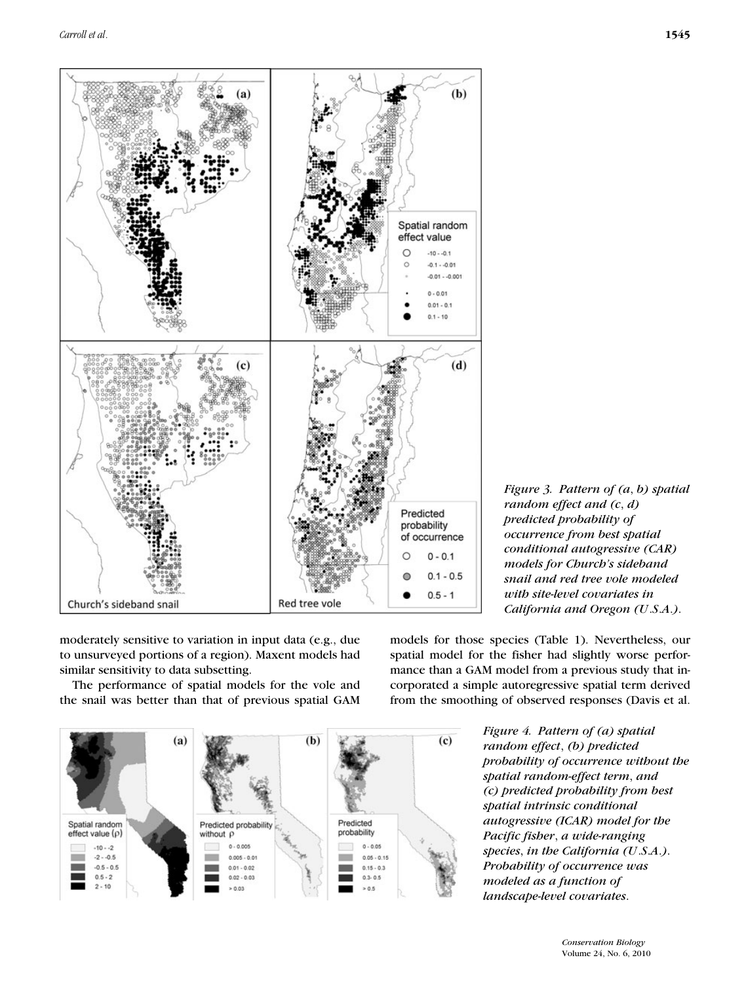

*Figure 3. Pattern of (a*, *b) spatial random effect and (c*, *d) predicted probability of occurrence from best spatial conditional autogressive (CAR) models for Church's sideband snail and red tree vole modeled with site-level covariates in California and Oregon (U*.*S*.*A*.*)*.

moderately sensitive to variation in input data (e.g., due to unsurveyed portions of a region). Maxent models had similar sensitivity to data subsetting.

The performance of spatial models for the vole and the snail was better than that of previous spatial GAM



*Figure 4. Pattern of (a) spatial random effect*, *(b) predicted probability of occurrence without the spatial random-effect term*, *and (c) predicted probability from best spatial intrinsic conditional autogressive (ICAR) model for the Pacific fisher*, *a wide-ranging species*, *in the California (U*.*S*.*A*.*)*. *Probability of occurrence was modeled as a function of landscape-level covariates*.



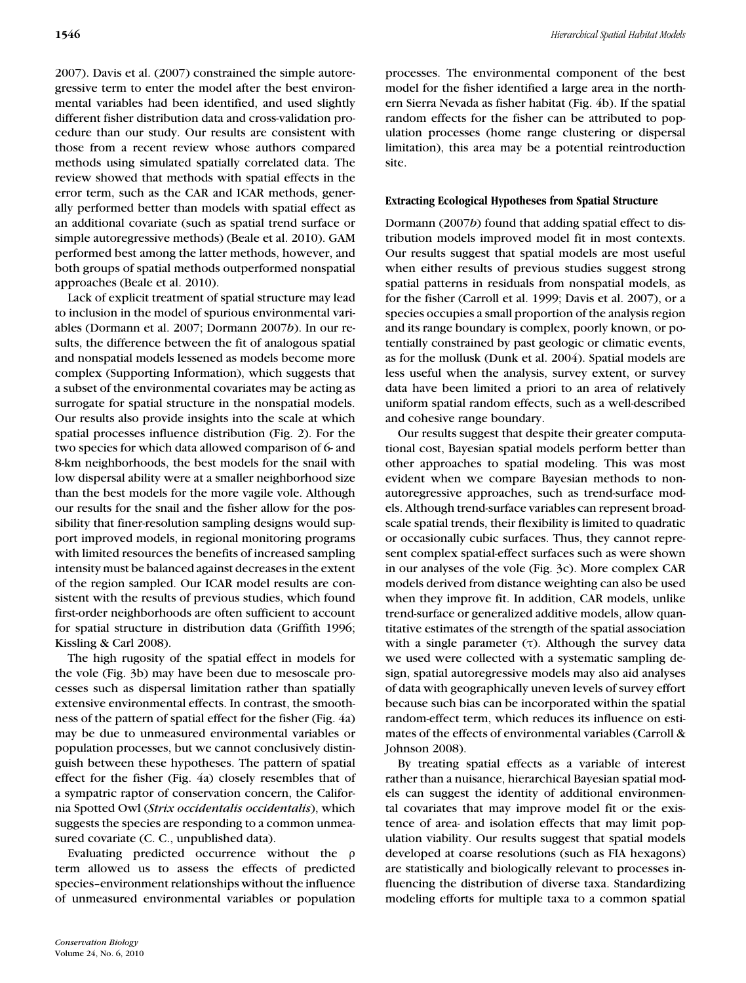2007). Davis et al. (2007) constrained the simple autoregressive term to enter the model after the best environmental variables had been identified, and used slightly different fisher distribution data and cross-validation procedure than our study. Our results are consistent with those from a recent review whose authors compared methods using simulated spatially correlated data. The review showed that methods with spatial effects in the error term, such as the CAR and ICAR methods, generally performed better than models with spatial effect as an additional covariate (such as spatial trend surface or simple autoregressive methods) (Beale et al. 2010). GAM performed best among the latter methods, however, and both groups of spatial methods outperformed nonspatial approaches (Beale et al. 2010).

Lack of explicit treatment of spatial structure may lead to inclusion in the model of spurious environmental variables (Dormann et al. 2007; Dormann 2007*b*). In our results, the difference between the fit of analogous spatial and nonspatial models lessened as models become more complex (Supporting Information), which suggests that a subset of the environmental covariates may be acting as surrogate for spatial structure in the nonspatial models. Our results also provide insights into the scale at which spatial processes influence distribution (Fig. 2). For the two species for which data allowed comparison of 6- and 8-km neighborhoods, the best models for the snail with low dispersal ability were at a smaller neighborhood size than the best models for the more vagile vole. Although our results for the snail and the fisher allow for the possibility that finer-resolution sampling designs would support improved models, in regional monitoring programs with limited resources the benefits of increased sampling intensity must be balanced against decreases in the extent of the region sampled. Our ICAR model results are consistent with the results of previous studies, which found first-order neighborhoods are often sufficient to account for spatial structure in distribution data (Griffith 1996; Kissling & Carl 2008).

The high rugosity of the spatial effect in models for the vole (Fig. 3b) may have been due to mesoscale processes such as dispersal limitation rather than spatially extensive environmental effects. In contrast, the smoothness of the pattern of spatial effect for the fisher (Fig. 4a) may be due to unmeasured environmental variables or population processes, but we cannot conclusively distinguish between these hypotheses. The pattern of spatial effect for the fisher (Fig. 4a) closely resembles that of a sympatric raptor of conservation concern, the California Spotted Owl (*Strix occidentalis occidentalis*), which suggests the species are responding to a common unmeasured covariate (C. C., unpublished data).

Evaluating predicted occurrence without the ρ term allowed us to assess the effects of predicted species–environment relationships without the influence of unmeasured environmental variables or population

processes. The environmental component of the best model for the fisher identified a large area in the northern Sierra Nevada as fisher habitat (Fig. 4b). If the spatial random effects for the fisher can be attributed to population processes (home range clustering or dispersal limitation), this area may be a potential reintroduction site.

#### **Extracting Ecological Hypotheses from Spatial Structure**

Dormann (2007*b*) found that adding spatial effect to distribution models improved model fit in most contexts. Our results suggest that spatial models are most useful when either results of previous studies suggest strong spatial patterns in residuals from nonspatial models, as for the fisher (Carroll et al. 1999; Davis et al. 2007), or a species occupies a small proportion of the analysis region and its range boundary is complex, poorly known, or potentially constrained by past geologic or climatic events, as for the mollusk (Dunk et al. 2004). Spatial models are less useful when the analysis, survey extent, or survey data have been limited a priori to an area of relatively uniform spatial random effects, such as a well-described and cohesive range boundary.

Our results suggest that despite their greater computational cost, Bayesian spatial models perform better than other approaches to spatial modeling. This was most evident when we compare Bayesian methods to nonautoregressive approaches, such as trend-surface models. Although trend-surface variables can represent broadscale spatial trends, their flexibility is limited to quadratic or occasionally cubic surfaces. Thus, they cannot represent complex spatial-effect surfaces such as were shown in our analyses of the vole (Fig. 3c). More complex CAR models derived from distance weighting can also be used when they improve fit. In addition, CAR models, unlike trend-surface or generalized additive models, allow quantitative estimates of the strength of the spatial association with a single parameter  $(\tau)$ . Although the survey data we used were collected with a systematic sampling design, spatial autoregressive models may also aid analyses of data with geographically uneven levels of survey effort because such bias can be incorporated within the spatial random-effect term, which reduces its influence on estimates of the effects of environmental variables (Carroll & Johnson 2008).

By treating spatial effects as a variable of interest rather than a nuisance, hierarchical Bayesian spatial models can suggest the identity of additional environmental covariates that may improve model fit or the existence of area- and isolation effects that may limit population viability. Our results suggest that spatial models developed at coarse resolutions (such as FIA hexagons) are statistically and biologically relevant to processes influencing the distribution of diverse taxa. Standardizing modeling efforts for multiple taxa to a common spatial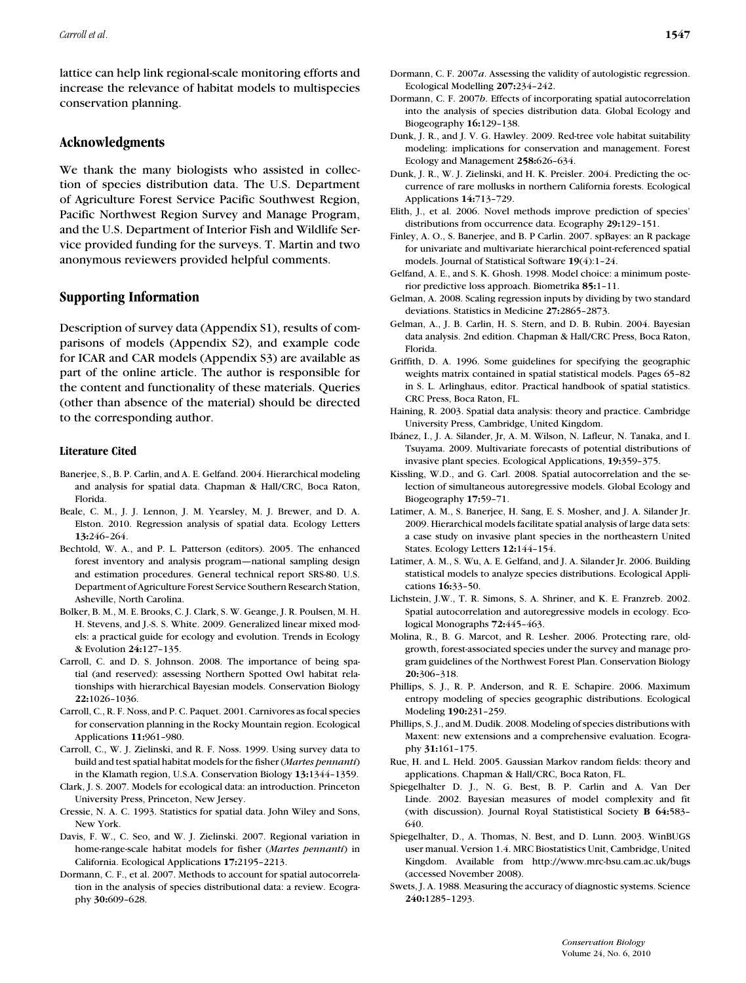lattice can help link regional-scale monitoring efforts and increase the relevance of habitat models to multispecies conservation planning.

#### **Acknowledgments**

We thank the many biologists who assisted in collection of species distribution data. The U.S. Department of Agriculture Forest Service Pacific Southwest Region, Pacific Northwest Region Survey and Manage Program, and the U.S. Department of Interior Fish and Wildlife Service provided funding for the surveys. T. Martin and two anonymous reviewers provided helpful comments.

#### **Supporting Information**

Description of survey data (Appendix S1), results of comparisons of models (Appendix S2), and example code for ICAR and CAR models (Appendix S3) are available as part of the online article. The author is responsible for the content and functionality of these materials. Queries (other than absence of the material) should be directed to the corresponding author.

#### **Literature Cited**

- Banerjee, S., B. P. Carlin, and A. E. Gelfand. 2004. Hierarchical modeling and analysis for spatial data. Chapman & Hall/CRC, Boca Raton, Florida.
- Beale, C. M., J. J. Lennon, J. M. Yearsley, M. J. Brewer, and D. A. Elston. 2010. Regression analysis of spatial data. Ecology Letters **13:**246–264.
- Bechtold, W. A., and P. L. Patterson (editors). 2005. The enhanced forest inventory and analysis program—national sampling design and estimation procedures. General technical report SRS-80. U.S. Department of Agriculture Forest Service Southern Research Station, Asheville, North Carolina.
- Bolker, B. M., M. E. Brooks, C. J. Clark, S. W. Geange, J. R. Poulsen, M. H. H. Stevens, and J.-S. S. White. 2009. Generalized linear mixed models: a practical guide for ecology and evolution. Trends in Ecology & Evolution **24:**127–135.
- Carroll, C. and D. S. Johnson. 2008. The importance of being spatial (and reserved): assessing Northern Spotted Owl habitat relationships with hierarchical Bayesian models. Conservation Biology **22:**1026–1036.
- Carroll, C., R. F. Noss, and P. C. Paquet. 2001. Carnivores as focal species for conservation planning in the Rocky Mountain region. Ecological Applications **11:**961–980.
- Carroll, C., W. J. Zielinski, and R. F. Noss. 1999. Using survey data to build and test spatial habitat models for the fisher (*Martes pennanti*) in the Klamath region, U.S.A. Conservation Biology **13:**1344–1359.
- Clark, J. S. 2007. Models for ecological data: an introduction. Princeton University Press, Princeton, New Jersey.
- Cressie, N. A. C. 1993. Statistics for spatial data. John Wiley and Sons, New York.
- Davis, F. W., C. Seo, and W. J. Zielinski. 2007. Regional variation in home-range-scale habitat models for fisher (*Martes pennanti*) in California. Ecological Applications **17:**2195–2213.
- Dormann, C. F., et al. 2007. Methods to account for spatial autocorrelation in the analysis of species distributional data: a review. Ecography **30:**609–628.
- Dormann, C. F. 2007*a*. Assessing the validity of autologistic regression. Ecological Modelling **207:**234–242.
- Dormann, C. F. 2007*b*. Effects of incorporating spatial autocorrelation into the analysis of species distribution data. Global Ecology and Biogeography **16:**129–138.
- Dunk, J. R., and J. V. G. Hawley. 2009. Red-tree vole habitat suitability modeling: implications for conservation and management. Forest Ecology and Management **258:**626–634.
- Dunk, J. R., W. J. Zielinski, and H. K. Preisler. 2004. Predicting the occurrence of rare mollusks in northern California forests. Ecological Applications **14:**713–729.
- Elith, J., et al. 2006. Novel methods improve prediction of species' distributions from occurrence data. Ecography **29:**129–151.
- Finley, A. O., S. Banerjee, and B. P Carlin. 2007. spBayes: an R package for univariate and multivariate hierarchical point-referenced spatial models. Journal of Statistical Software **19**(4):1–24.
- Gelfand, A. E., and S. K. Ghosh. 1998. Model choice: a minimum posterior predictive loss approach. Biometrika **85:**1–11.
- Gelman, A. 2008. Scaling regression inputs by dividing by two standard deviations. Statistics in Medicine **27:**2865–2873.
- Gelman, A., J. B. Carlin, H. S. Stern, and D. B. Rubin. 2004. Bayesian data analysis. 2nd edition. Chapman & Hall/CRC Press, Boca Raton, Florida.
- Griffith, D. A. 1996. Some guidelines for specifying the geographic weights matrix contained in spatial statistical models. Pages 65–82 in S. L. Arlinghaus, editor. Practical handbook of spatial statistics. CRC Press, Boca Raton, FL.
- Haining, R. 2003. Spatial data analysis: theory and practice. Cambridge University Press, Cambridge, United Kingdom.
- Ib´anez, I., J. A. Silander, Jr, A. M. Wilson, N. Lafleur, N. Tanaka, and I. Tsuyama. 2009. Multivariate forecasts of potential distributions of invasive plant species. Ecological Applications, **19:**359–375.
- Kissling, W.D., and G. Carl. 2008. Spatial autocorrelation and the selection of simultaneous autoregressive models. Global Ecology and Biogeography **17:**59–71.
- Latimer, A. M., S. Banerjee, H. Sang, E. S. Mosher, and J. A. Silander Jr. 2009. Hierarchical models facilitate spatial analysis of large data sets: a case study on invasive plant species in the northeastern United States. Ecology Letters **12:**144–154.
- Latimer, A. M., S. Wu, A. E. Gelfand, and J. A. Silander Jr. 2006. Building statistical models to analyze species distributions. Ecological Applications **16:**33–50.
- Lichstein, J.W., T. R. Simons, S. A. Shriner, and K. E. Franzreb. 2002. Spatial autocorrelation and autoregressive models in ecology. Ecological Monographs **72:**445–463.
- Molina, R., B. G. Marcot, and R. Lesher. 2006. Protecting rare, oldgrowth, forest-associated species under the survey and manage program guidelines of the Northwest Forest Plan. Conservation Biology **20:**306–318.
- Phillips, S. J., R. P. Anderson, and R. E. Schapire. 2006. Maximum entropy modeling of species geographic distributions. Ecological Modeling **190:**231–259.
- Phillips, S. J., and M. Dudik. 2008. Modeling of species distributions with Maxent: new extensions and a comprehensive evaluation. Ecography **31:**161–175.
- Rue, H. and L. Held. 2005. Gaussian Markov random fields: theory and applications. Chapman & Hall/CRC, Boca Raton, FL.
- Spiegelhalter D. J., N. G. Best, B. P. Carlin and A. Van Der Linde. 2002. Bayesian measures of model complexity and fit (with discussion). Journal Royal Statististical Society **B 64:**583– 640.
- Spiegelhalter, D., A. Thomas, N. Best, and D. Lunn. 2003. WinBUGS user manual. Version 1.4. MRC Biostatistics Unit, Cambridge, United Kingdom. Available from http://www.mrc-bsu.cam.ac.uk/bugs (accessed November 2008).
- Swets, J. A. 1988. Measuring the accuracy of diagnostic systems. Science **240:**1285–1293.